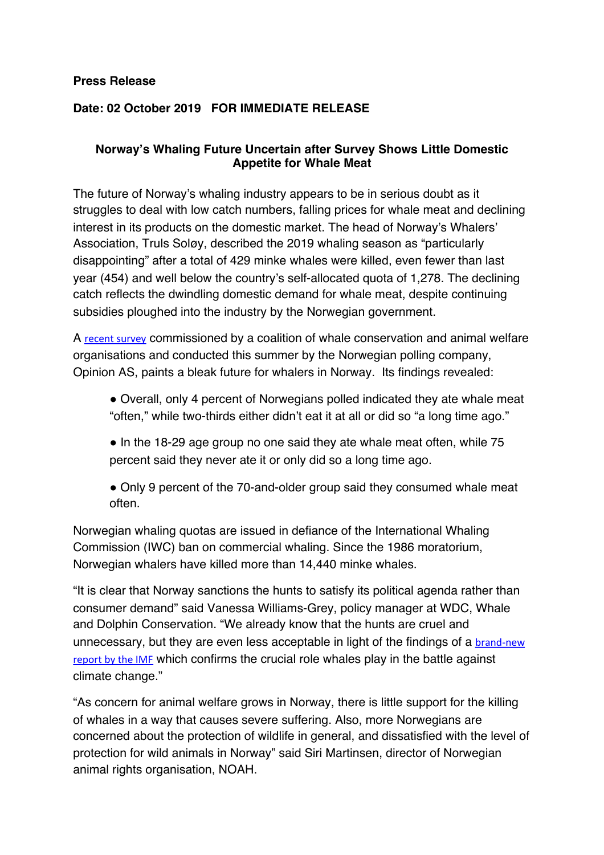### **Press Release**

## **Date: 02 October 2019 FOR IMMEDIATE RELEASE**

### **Norway's Whaling Future Uncertain after Survey Shows Little Domestic Appetite for Whale Meat**

The future of Norway's whaling industry appears to be in serious doubt as it struggles to deal with low catch numbers, falling prices for whale meat and declining interest in its products on the domestic market. The head of Norway's Whalers' Association, Truls Soløy, described the 2019 whaling season as "particularly disappointing" after a total of 429 minke whales were killed, even fewer than last year (454) and well below the country's self-allocated quota of 1,278. The declining catch reflects the dwindling domestic demand for whale meat, despite continuing subsidies ploughed into the industry by the Norwegian government.

A recent survey commissioned by a coalition of whale conservation and animal welfare organisations and conducted this summer by the Norwegian polling company, Opinion AS, paints a bleak future for whalers in Norway. Its findings revealed:

- **!** Overall, only 4 percent of Norwegians polled indicated they ate whale meat "often," while two-thirds either didn't eat it at all or did so "a long time ago."
- In the 18-29 age group no one said they ate whale meat often, while 75 percent said they never ate it or only did so a long time ago.
- Only 9 percent of the 70-and-older group said they consumed whale meat often.

Norwegian whaling quotas are issued in defiance of the International Whaling Commission (IWC) ban on commercial whaling. Since the 1986 moratorium, Norwegian whalers have killed more than 14,440 minke whales.

"It is clear that Norway sanctions the hunts to satisfy its political agenda rather than consumer demand" said Vanessa Williams-Grey, policy manager at WDC, Whale and Dolphin Conservation. "We already know that the hunts are cruel and unnecessary, but they are even less acceptable in light of the findings of a brand-new report by the IMF which confirms the crucial role whales play in the battle against climate change."

"As concern for animal welfare grows in Norway, there is little support for the killing of whales in a way that causes severe suffering. Also, more Norwegians are concerned about the protection of wildlife in general, and dissatisfied with the level of protection for wild animals in Norway" said Siri Martinsen, director of Norwegian animal rights organisation, NOAH.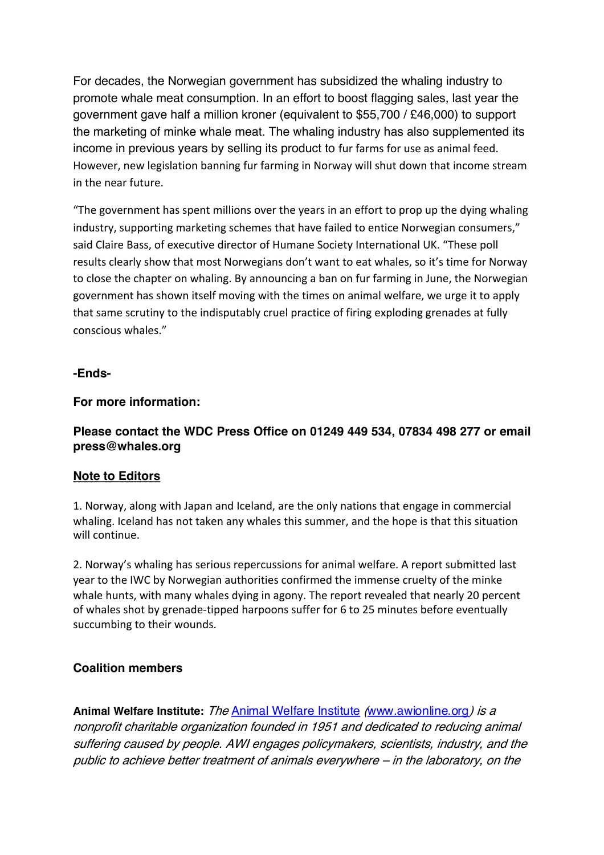For decades, the Norwegian government has subsidized the whaling industry to promote whale meat consumption. In an effort to boost flagging sales, last year the government gave half a million kroner (equivalent to \$55,700 / £46,000) to support the marketing of minke whale meat. The whaling industry has also supplemented its income in previous years by selling its product to fur farms for use as animal feed. However, new legislation banning fur farming in Norway will shut down that income stream in the near future. 

"The government has spent millions over the years in an effort to prop up the dying whaling industry, supporting marketing schemes that have failed to entice Norwegian consumers," said Claire Bass, of executive director of Humane Society International UK. "These poll results clearly show that most Norwegians don't want to eat whales, so it's time for Norway to close the chapter on whaling. By announcing a ban on fur farming in June, the Norwegian government has shown itself moving with the times on animal welfare, we urge it to apply that same scrutiny to the indisputably cruel practice of firing exploding grenades at fully conscious whales."

#### **-Ends-**

### **For more information:**

# **Please contact the WDC Press Office on 01249 449 534, 07834 498 277 or email press@whales.org**

#### **Note to Editors**

1. Norway, along with Japan and Iceland, are the only nations that engage in commercial whaling. Iceland has not taken any whales this summer, and the hope is that this situation will continue.

2. Norway's whaling has serious repercussions for animal welfare. A report submitted last year to the IWC by Norwegian authorities confirmed the immense cruelty of the minke whale hunts, with many whales dying in agony. The report revealed that nearly 20 percent of whales shot by grenade-tipped harpoons suffer for 6 to 25 minutes before eventually succumbing to their wounds.

## **Coalition members**

**Animal Welfare Institute:** The Animal Welfare Institute (www.awionline.org) is <sup>a</sup> nonprofit charitable organization founded in 1951 and dedicated to reducing animal suffering caused by people. AWI engages policymakers, scientists, industry, and the public to achieve better treatment of animals everywhere – in the laboratory, on the